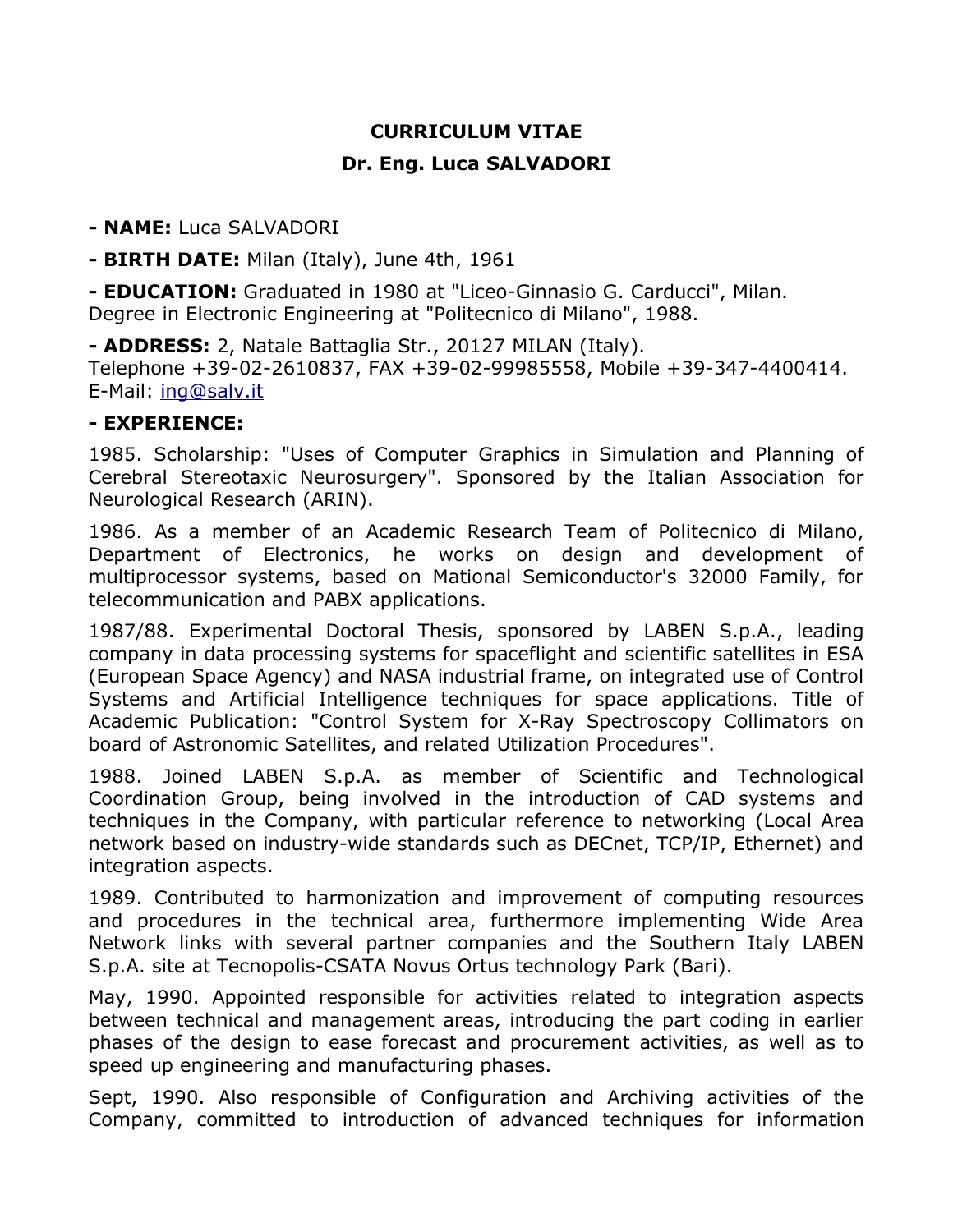## **CURRICULUM VITAE Dr. Eng. Luca SALVADORI**

**- NAME:** Luca SALVADORI

**- BIRTH DATE:** Milan (Italy), June 4th, 1961

**- EDUCATION:** Graduated in 1980 at "Liceo-Ginnasio G. Carducci", Milan. Degree in Electronic Engineering at "Politecnico di Milano", 1988.

**- ADDRESS:** 2, Natale Battaglia Str., 20127 MILAN (Italy). Telephone +39-02-2610837, FAX +39-02-99985558, Mobile +39-347-4400414. E-Mail: [ing@salv.it](mailto:ing@lsalv.it)

## **- EXPERIENCE:**

1985. Scholarship: "Uses of Computer Graphics in Simulation and Planning of Cerebral Stereotaxic Neurosurgery". Sponsored by the Italian Association for Neurological Research (ARIN).

1986. As a member of an Academic Research Team of Politecnico di Milano, Department of Electronics, he works on design and development of multiprocessor systems, based on Mational Semiconductor's 32000 Family, for telecommunication and PABX applications.

1987/88. Experimental Doctoral Thesis, sponsored by LABEN S.p.A., leading company in data processing systems for spaceflight and scientific satellites in ESA (European Space Agency) and NASA industrial frame, on integrated use of Control Systems and Artificial Intelligence techniques for space applications. Title of Academic Publication: "Control System for X-Ray Spectroscopy Collimators on board of Astronomic Satellites, and related Utilization Procedures".

1988. Joined LABEN S.p.A. as member of Scientific and Technological Coordination Group, being involved in the introduction of CAD systems and techniques in the Company, with particular reference to networking (Local Area network based on industry-wide standards such as DECnet, TCP/IP, Ethernet) and integration aspects.

1989. Contributed to harmonization and improvement of computing resources and procedures in the technical area, furthermore implementing Wide Area Network links with several partner companies and the Southern Italy LABEN S.p.A. site at Tecnopolis-CSATA Novus Ortus technology Park (Bari).

May, 1990. Appointed responsible for activities related to integration aspects between technical and management areas, introducing the part coding in earlier phases of the design to ease forecast and procurement activities, as well as to speed up engineering and manufacturing phases.

Sept, 1990. Also responsible of Configuration and Archiving activities of the Company, committed to introduction of advanced techniques for information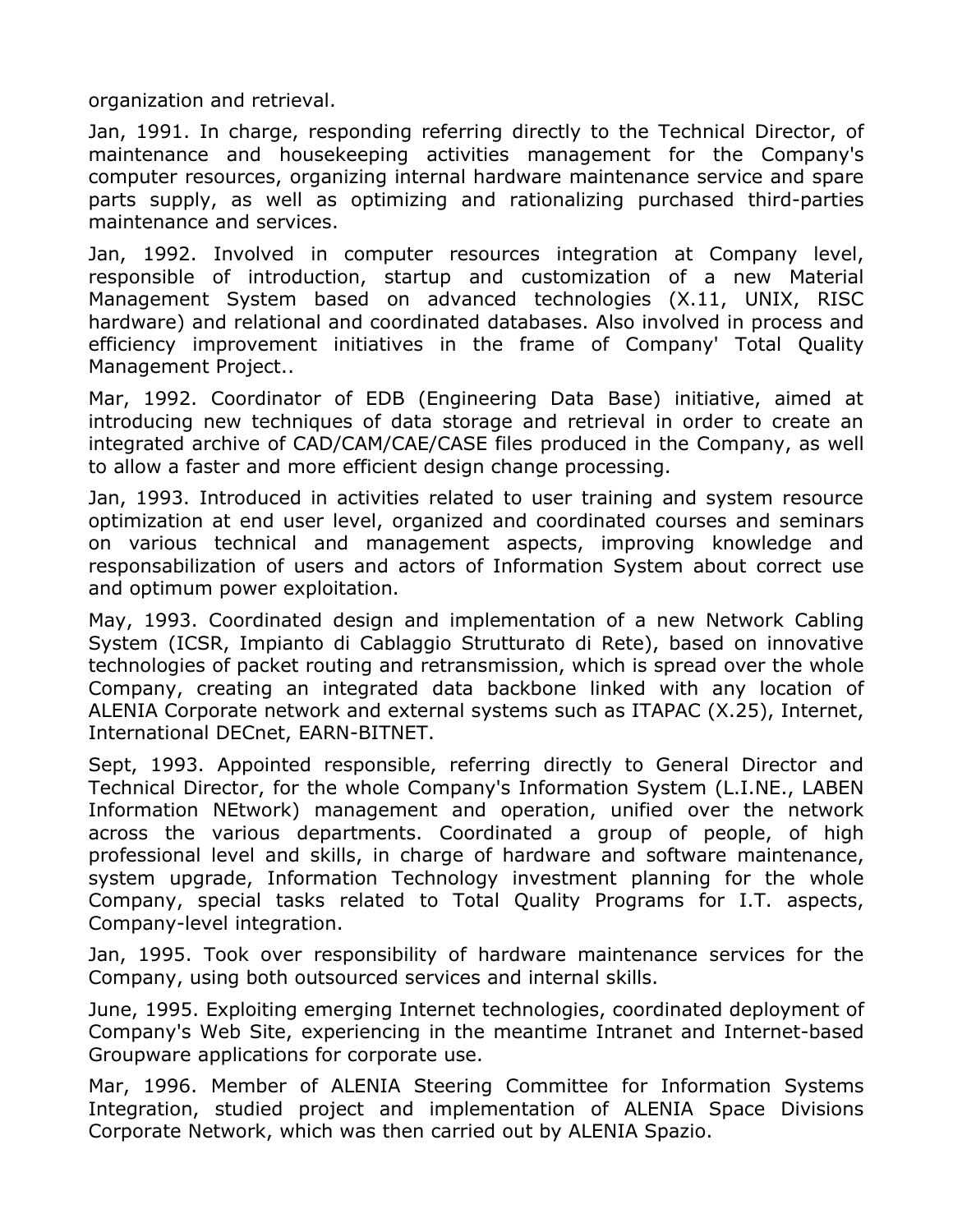organization and retrieval.

Jan, 1991. In charge, responding referring directly to the Technical Director, of maintenance and housekeeping activities management for the Company's computer resources, organizing internal hardware maintenance service and spare parts supply, as well as optimizing and rationalizing purchased third-parties maintenance and services.

Jan, 1992. Involved in computer resources integration at Company level, responsible of introduction, startup and customization of a new Material Management System based on advanced technologies (X.11, UNIX, RISC hardware) and relational and coordinated databases. Also involved in process and efficiency improvement initiatives in the frame of Company' Total Quality Management Project..

Mar, 1992. Coordinator of EDB (Engineering Data Base) initiative, aimed at introducing new techniques of data storage and retrieval in order to create an integrated archive of CAD/CAM/CAE/CASE files produced in the Company, as well to allow a faster and more efficient design change processing.

Jan, 1993. Introduced in activities related to user training and system resource optimization at end user level, organized and coordinated courses and seminars on various technical and management aspects, improving knowledge and responsabilization of users and actors of Information System about correct use and optimum power exploitation.

May, 1993. Coordinated design and implementation of a new Network Cabling System (ICSR, Impianto di Cablaggio Strutturato di Rete), based on innovative technologies of packet routing and retransmission, which is spread over the whole Company, creating an integrated data backbone linked with any location of ALENIA Corporate network and external systems such as ITAPAC (X.25), Internet, International DECnet, EARN-BITNET.

Sept, 1993. Appointed responsible, referring directly to General Director and Technical Director, for the whole Company's Information System (L.I.NE., LABEN Information NEtwork) management and operation, unified over the network across the various departments. Coordinated a group of people, of high professional level and skills, in charge of hardware and software maintenance, system upgrade, Information Technology investment planning for the whole Company, special tasks related to Total Quality Programs for I.T. aspects, Company-level integration.

Jan, 1995. Took over responsibility of hardware maintenance services for the Company, using both outsourced services and internal skills.

June, 1995. Exploiting emerging Internet technologies, coordinated deployment of Company's Web Site, experiencing in the meantime Intranet and Internet-based Groupware applications for corporate use.

Mar, 1996. Member of ALENIA Steering Committee for Information Systems Integration, studied project and implementation of ALENIA Space Divisions Corporate Network, which was then carried out by ALENIA Spazio.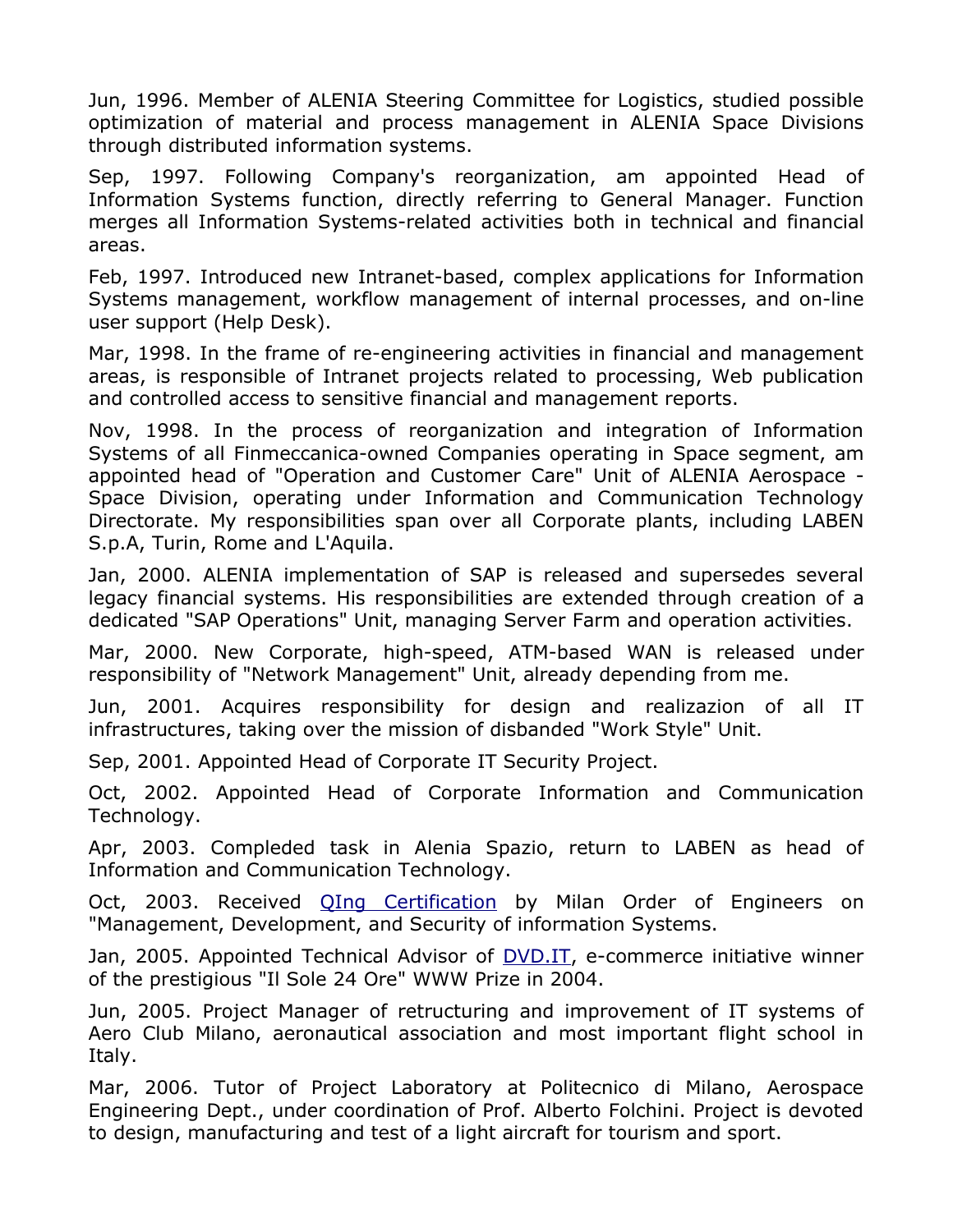Jun, 1996. Member of ALENIA Steering Committee for Logistics, studied possible optimization of material and process management in ALENIA Space Divisions through distributed information systems.

Sep, 1997. Following Company's reorganization, am appointed Head of Information Systems function, directly referring to General Manager. Function merges all Information Systems-related activities both in technical and financial areas.

Feb, 1997. Introduced new Intranet-based, complex applications for Information Systems management, workflow management of internal processes, and on-line user support (Help Desk).

Mar, 1998. In the frame of re-engineering activities in financial and management areas, is responsible of Intranet projects related to processing, Web publication and controlled access to sensitive financial and management reports.

Nov, 1998. In the process of reorganization and integration of Information Systems of all Finmeccanica-owned Companies operating in Space segment, am appointed head of "Operation and Customer Care" Unit of ALENIA Aerospace - Space Division, operating under Information and Communication Technology Directorate. My responsibilities span over all Corporate plants, including LABEN S.p.A, Turin, Rome and L'Aquila.

Jan, 2000. ALENIA implementation of SAP is released and supersedes several legacy financial systems. His responsibilities are extended through creation of a dedicated "SAP Operations" Unit, managing Server Farm and operation activities.

Mar, 2000. New Corporate, high-speed, ATM-based WAN is released under responsibility of "Network Management" Unit, already depending from me.

Jun, 2001. Acquires responsibility for design and realizazion of all IT infrastructures, taking over the mission of disbanded "Work Style" Unit.

Sep, 2001. Appointed Head of Corporate IT Security Project.

Oct, 2002. Appointed Head of Corporate Information and Communication Technology.

Apr, 2003. Compleded task in Alenia Spazio, return to LABEN as head of Information and Communication Technology.

Oct, 2003. Received [QIng Certification](http://www.lsalv.it/lsalv/qingcert.jpg) by Milan Order of Engineers on "Management, Development, and Security of information Systems.

Jan, 2005. Appointed Technical Advisor of *DVD.IT*, e-commerce initiative winner of the prestigious "Il Sole 24 Ore" WWW Prize in 2004.

Jun, 2005. Project Manager of retructuring and improvement of IT systems of Aero Club Milano, aeronautical association and most important flight school in Italy.

Mar, 2006. Tutor of Project Laboratory at Politecnico di Milano, Aerospace Engineering Dept., under coordination of Prof. Alberto Folchini. Project is devoted to design, manufacturing and test of a light aircraft for tourism and sport.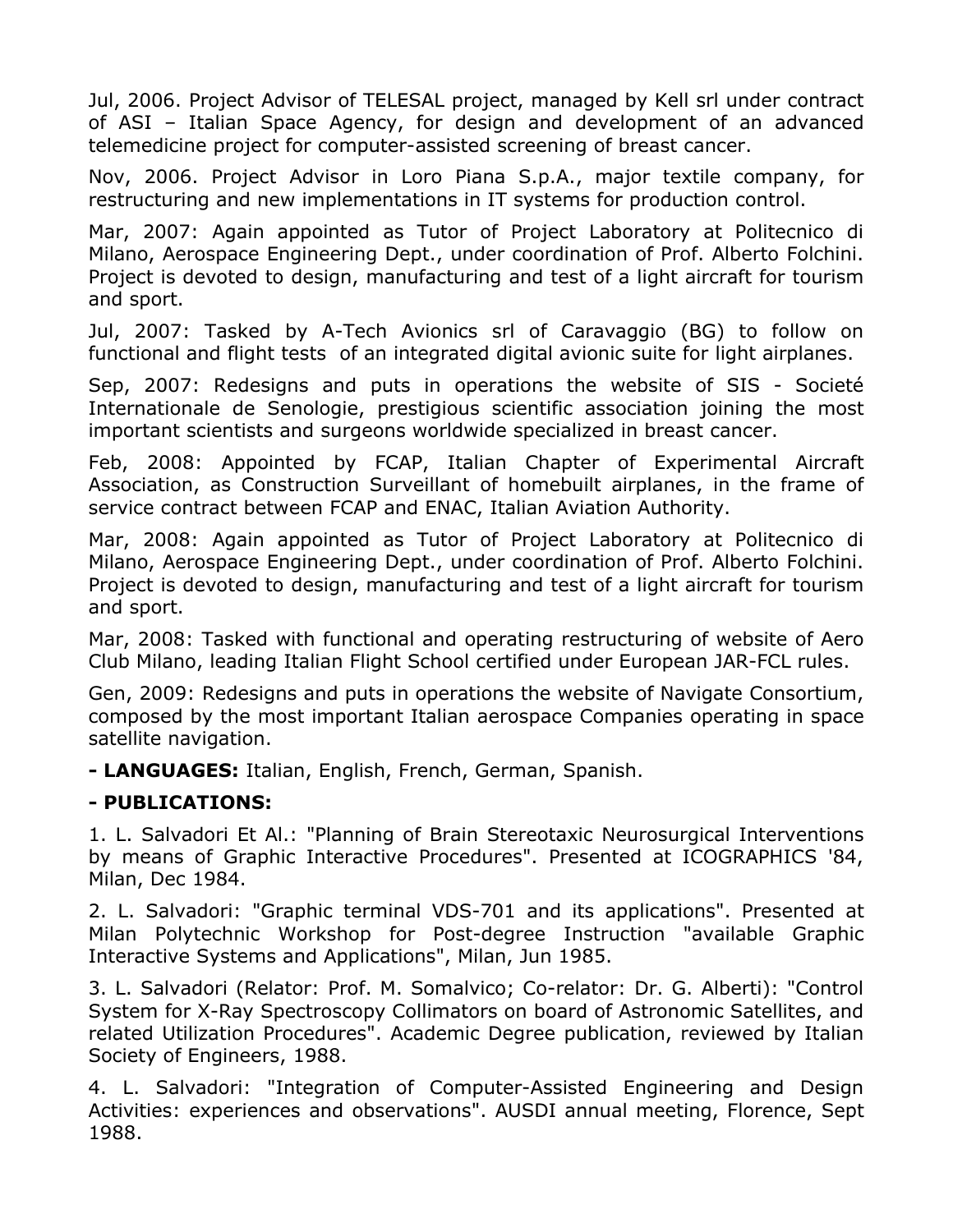Jul, 2006. Project Advisor of TELESAL project, managed by Kell srl under contract of ASI – Italian Space Agency, for design and development of an advanced telemedicine project for computer-assisted screening of breast cancer.

Nov, 2006. Project Advisor in Loro Piana S.p.A., major textile company, for restructuring and new implementations in IT systems for production control.

Mar, 2007: Again appointed as Tutor of Project Laboratory at Politecnico di Milano, Aerospace Engineering Dept., under coordination of Prof. Alberto Folchini. Project is devoted to design, manufacturing and test of a light aircraft for tourism and sport.

Jul, 2007: Tasked by A-Tech Avionics srl of Caravaggio (BG) to follow on functional and flight tests of an integrated digital avionic suite for light airplanes.

Sep, 2007: Redesigns and puts in operations the website of SIS - Societé Internationale de Senologie, prestigious scientific association joining the most important scientists and surgeons worldwide specialized in breast cancer.

Feb, 2008: Appointed by FCAP, Italian Chapter of Experimental Aircraft Association, as Construction Surveillant of homebuilt airplanes, in the frame of service contract between FCAP and ENAC, Italian Aviation Authority.

Mar, 2008: Again appointed as Tutor of Project Laboratory at Politecnico di Milano, Aerospace Engineering Dept., under coordination of Prof. Alberto Folchini. Project is devoted to design, manufacturing and test of a light aircraft for tourism and sport.

Mar, 2008: Tasked with functional and operating restructuring of website of Aero Club Milano, leading Italian Flight School certified under European JAR-FCL rules.

Gen, 2009: Redesigns and puts in operations the website of Navigate Consortium, composed by the most important Italian aerospace Companies operating in space satellite navigation.

**- LANGUAGES:** Italian, English, French, German, Spanish.

## **- PUBLICATIONS:**

1. L. Salvadori Et Al.: "Planning of Brain Stereotaxic Neurosurgical Interventions by means of Graphic Interactive Procedures". Presented at ICOGRAPHICS '84, Milan, Dec 1984.

2. L. Salvadori: "Graphic terminal VDS-701 and its applications". Presented at Milan Polytechnic Workshop for Post-degree Instruction "available Graphic Interactive Systems and Applications", Milan, Jun 1985.

3. L. Salvadori (Relator: Prof. M. Somalvico; Co-relator: Dr. G. Alberti): "Control System for X-Ray Spectroscopy Collimators on board of Astronomic Satellites, and related Utilization Procedures". Academic Degree publication, reviewed by Italian Society of Engineers, 1988.

4. L. Salvadori: "Integration of Computer-Assisted Engineering and Design Activities: experiences and observations". AUSDI annual meeting, Florence, Sept 1988.